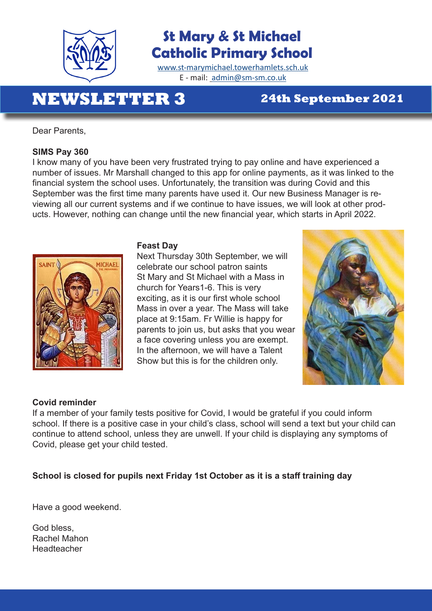

# **St Mary & St Michael Catholic Primary School**

www.st-marymichael.towerhamlets.sch.uk E - mail: admin@sm-sm.co.uk

# **NEWSLETTER 3 24th September 2021**

Dear Parents,

#### **SIMS Pay 360**

I know many of you have been very frustrated trying to pay online and have experienced a number of issues. Mr Marshall changed to this app for online payments, as it was linked to the financial system the school uses. Unfortunately, the transition was during Covid and this September was the first time many parents have used it. Our new Business Manager is reviewing all our current systems and if we continue to have issues, we will look at other products. However, nothing can change until the new financial year, which starts in April 2022.



#### **Feast Day**

Next Thursday 30th September, we will **AINT MICHAEL** celebrate our school patron saints St Mary and St Michael with a Mass in church for Years1-6. This is very exciting, as it is our first whole school Mass in over a year. The Mass will take place at 9:15am. Fr Willie is happy for parents to join us, but asks that you wear a face covering unless you are exempt. In the afternoon, we will have a Talent Show but this is for the children only.



### **Covid reminder**

If a member of your family tests positive for Covid, I would be grateful if you could inform school. If there is a positive case in your child's class, school will send a text but your child can continue to attend school, unless they are unwell. If your child is displaying any symptoms of Covid, please get your child tested.

### **School is closed for pupils next Friday 1st October as it is a staff training day**

Have a good weekend.

God bless, Rachel Mahon Headteacher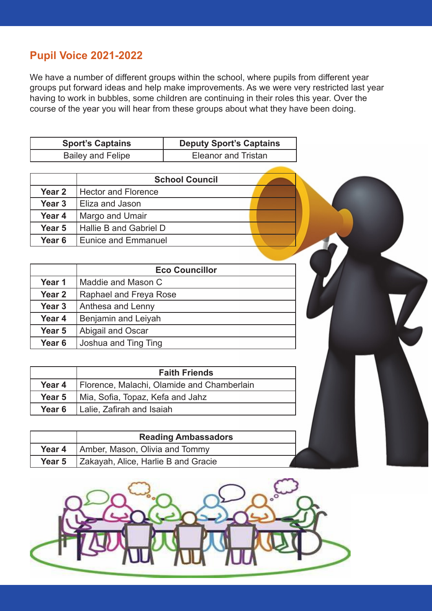## **Pupil Voice 2021-2022**

We have a number of different groups within the school, where pupils from different year groups put forward ideas and help make improvements. As we were very restricted last year having to work in bubbles, some children are continuing in their roles this year. Over the course of the year you will hear from these groups about what they have been doing.

| <b>Sport's Captains</b> | <b>Deputy Sport's Captains</b> |  |
|-------------------------|--------------------------------|--|
| Bailey and Felipe       | Eleanor and Tristan            |  |

|        | <b>School Council</b>      |  |
|--------|----------------------------|--|
| Year 2 | <b>Hector and Florence</b> |  |
| Year 3 | l Eliza and Jason          |  |
| Year 4 | Margo and Umair            |  |
| Year 5 | Hallie B and Gabriel D     |  |
| Year 6 | <b>Eunice and Emmanuel</b> |  |

|                   | <b>Eco Councillor</b>  |
|-------------------|------------------------|
| Year 1            | Maddie and Mason C     |
| Year <sub>2</sub> | Raphael and Freya Rose |
| Year <sub>3</sub> | Anthesa and Lenny      |
| Year 4            | Benjamin and Leiyah    |
| Year 5            | Abigail and Oscar      |
| Year <sub>6</sub> | Joshua and Ting Ting   |

|        | <b>Faith Friends</b>                       |
|--------|--------------------------------------------|
| Year 4 | Florence, Malachi, Olamide and Chamberlain |
| Year 5 | Mia, Sofia, Topaz, Kefa and Jahz           |
| Year 6 | Lalie, Zafirah and Isaiah                  |

|        | <b>Reading Ambassadors</b>          |
|--------|-------------------------------------|
| Year 4 | Amber, Mason, Olivia and Tommy      |
| Year 5 | Zakayah, Alice, Harlie B and Gracie |